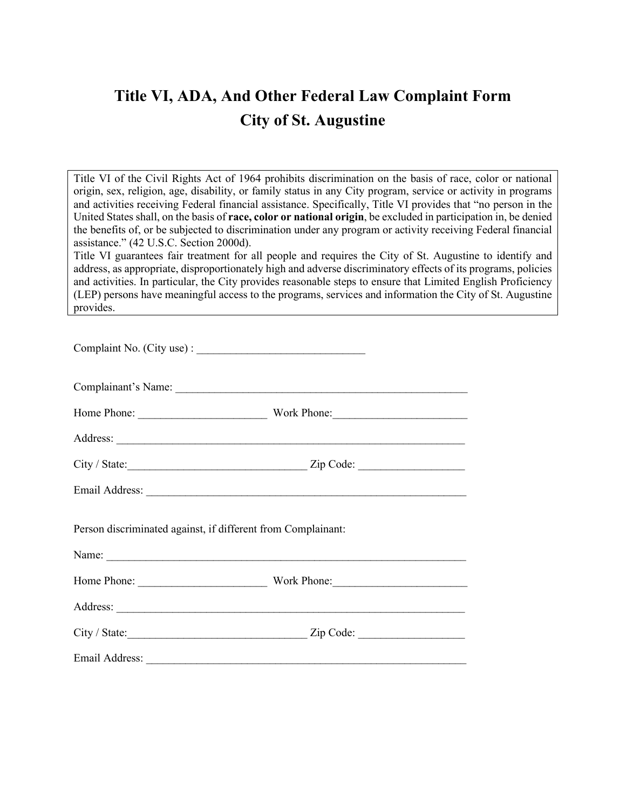# **Title VI, ADA, And Other Federal Law Complaint Form City of St. Augustine**

Title VI of the Civil Rights Act of 1964 prohibits discrimination on the basis of race, color or national origin, sex, religion, age, disability, or family status in any City program, service or activity in programs and activities receiving Federal financial assistance. Specifically, Title VI provides that "no person in the United States shall, on the basis of **race, color or national origin**, be excluded in participation in, be denied the benefits of, or be subjected to discrimination under any program or activity receiving Federal financial assistance." (42 U.S.C. Section 2000d).

Title VI guarantees fair treatment for all people and requires the City of St. Augustine to identify and address, as appropriate, disproportionately high and adverse discriminatory effects of its programs, policies and activities. In particular, the City provides reasonable steps to ensure that Limited English Proficiency (LEP) persons have meaningful access to the programs, services and information the City of St. Augustine provides.

| Person discriminated against, if different from Complainant: |  |
|--------------------------------------------------------------|--|
|                                                              |  |
|                                                              |  |
|                                                              |  |
|                                                              |  |
|                                                              |  |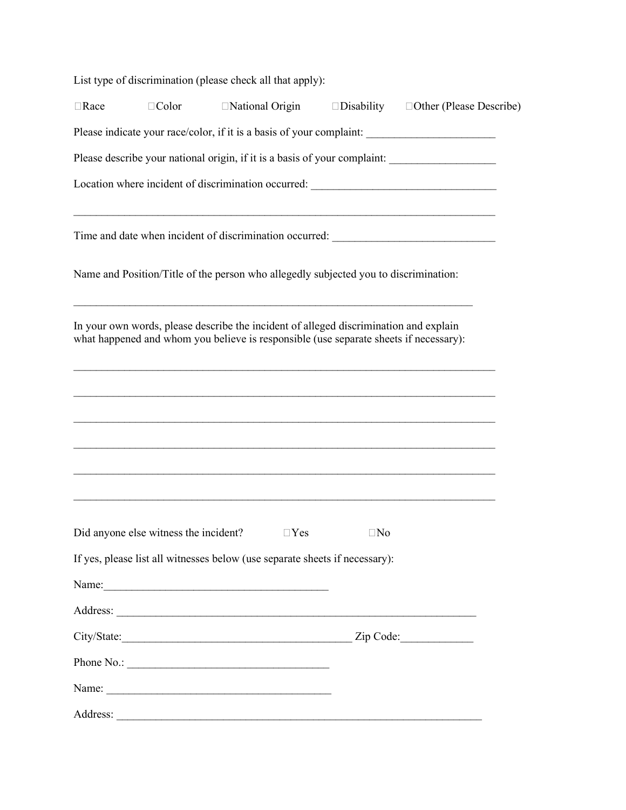|             | List type of discrimination (please check all that apply):                                                                                                                     |                  |                   |                                                                                                                                                                       |
|-------------|--------------------------------------------------------------------------------------------------------------------------------------------------------------------------------|------------------|-------------------|-----------------------------------------------------------------------------------------------------------------------------------------------------------------------|
| $\Box$ Race | $\Box$ Color                                                                                                                                                                   | □National Origin | $\Box$ Disability | □Other (Please Describe)                                                                                                                                              |
|             |                                                                                                                                                                                |                  |                   |                                                                                                                                                                       |
|             |                                                                                                                                                                                |                  |                   | Please describe your national origin, if it is a basis of your complaint: _________________________                                                                   |
|             |                                                                                                                                                                                |                  |                   | Location where incident of discrimination occurred: ____________________________                                                                                      |
|             |                                                                                                                                                                                |                  |                   | <u> 1989 - John Stone, Amerikaansk politiker († 1989)</u><br>Time and date when incident of discrimination occurred: _________________________                        |
|             | Name and Position/Title of the person who allegedly subjected you to discrimination:                                                                                           |                  |                   |                                                                                                                                                                       |
|             | In your own words, please describe the incident of alleged discrimination and explain<br>what happened and whom you believe is responsible (use separate sheets if necessary): |                  |                   |                                                                                                                                                                       |
|             |                                                                                                                                                                                |                  |                   |                                                                                                                                                                       |
|             |                                                                                                                                                                                |                  |                   | ,我们也不能在这里的时候,我们也不能在这里的时候,我们也不能在这里的时候,我们也不能在这里的时候,我们也不能在这里的时候,我们也不能在这里的时候,我们也不能会不<br>,我们也不能在这里的人,我们也不能在这里的人,我们也不能在这里的人,我们也不能在这里的人,我们也不能在这里的人,我们也不能在这里的人,我们也不能在这里的人,我们也 |
|             |                                                                                                                                                                                |                  |                   |                                                                                                                                                                       |
|             | Did anyone else witness the incident? $\square$ Yes $\square$ No                                                                                                               |                  |                   |                                                                                                                                                                       |
|             | If yes, please list all witnesses below (use separate sheets if necessary):                                                                                                    |                  |                   |                                                                                                                                                                       |
|             | Name:                                                                                                                                                                          |                  |                   |                                                                                                                                                                       |
|             |                                                                                                                                                                                |                  |                   |                                                                                                                                                                       |
|             |                                                                                                                                                                                |                  |                   |                                                                                                                                                                       |
|             |                                                                                                                                                                                |                  |                   |                                                                                                                                                                       |
|             | Name:                                                                                                                                                                          |                  |                   |                                                                                                                                                                       |
|             |                                                                                                                                                                                |                  |                   |                                                                                                                                                                       |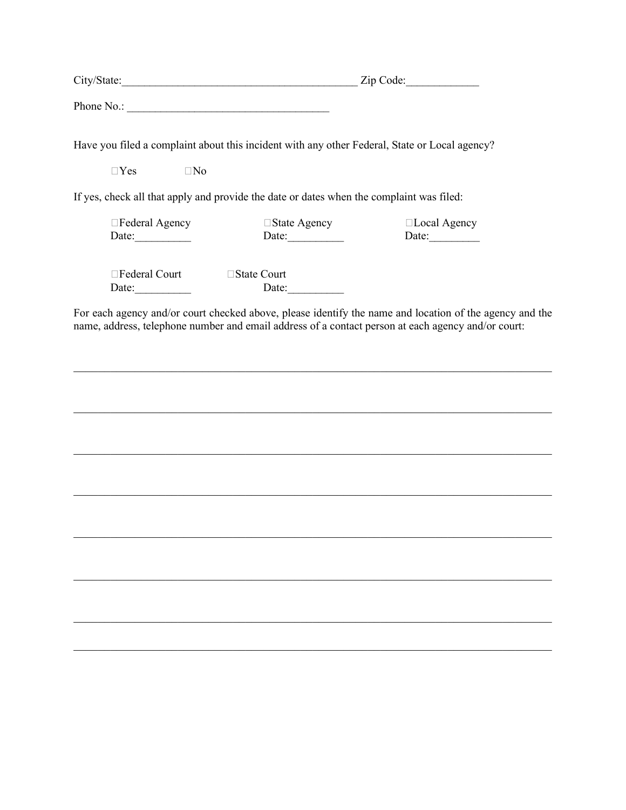| City/State:                                                                                   |                     | Zip Code:                    |
|-----------------------------------------------------------------------------------------------|---------------------|------------------------------|
| Phone No.:                                                                                    |                     |                              |
| Have you filed a complaint about this incident with any other Federal, State or Local agency? |                     |                              |
| $\Box$ Yes<br>$\Box$ No                                                                       |                     |                              |
| If yes, check all that apply and provide the date or dates when the complaint was filed:      |                     |                              |
| $\Box$ Federal Agency                                                                         | $\Box$ State Agency | $\Box$ Local Agency          |
| Date: $\qquad \qquad \qquad$                                                                  | Date:               | Date: $\qquad \qquad \qquad$ |
| $\Box$ Federal Court                                                                          | $\Box$ State Court  |                              |
| Date:                                                                                         | Date:               |                              |

For each agency and/or court checked above, please identify the name and location of the agency and the name, address, telephone number and email address of a contact person at each agency and/or court:

\_\_\_\_\_\_\_\_\_\_\_\_\_\_\_\_\_\_\_\_\_\_\_\_\_\_\_\_\_\_\_\_\_\_\_\_\_\_\_\_\_\_\_\_\_\_\_\_\_\_\_\_\_\_\_\_\_\_\_\_\_\_\_\_\_\_\_\_\_\_\_\_\_\_\_\_\_\_

 $\mathcal{L}_\mathcal{L} = \mathcal{L}_\mathcal{L} = \mathcal{L}_\mathcal{L} = \mathcal{L}_\mathcal{L} = \mathcal{L}_\mathcal{L} = \mathcal{L}_\mathcal{L} = \mathcal{L}_\mathcal{L} = \mathcal{L}_\mathcal{L} = \mathcal{L}_\mathcal{L} = \mathcal{L}_\mathcal{L} = \mathcal{L}_\mathcal{L} = \mathcal{L}_\mathcal{L} = \mathcal{L}_\mathcal{L} = \mathcal{L}_\mathcal{L} = \mathcal{L}_\mathcal{L} = \mathcal{L}_\mathcal{L} = \mathcal{L}_\mathcal{L}$ 

\_\_\_\_\_\_\_\_\_\_\_\_\_\_\_\_\_\_\_\_\_\_\_\_\_\_\_\_\_\_\_\_\_\_\_\_\_\_\_\_\_\_\_\_\_\_\_\_\_\_\_\_\_\_\_\_\_\_\_\_\_\_\_\_\_\_\_\_\_\_\_\_\_\_\_\_\_\_

\_\_\_\_\_\_\_\_\_\_\_\_\_\_\_\_\_\_\_\_\_\_\_\_\_\_\_\_\_\_\_\_\_\_\_\_\_\_\_\_\_\_\_\_\_\_\_\_\_\_\_\_\_\_\_\_\_\_\_\_\_\_\_\_\_\_\_\_\_\_\_\_\_\_\_\_\_\_

 $\mathcal{L}_\mathcal{L} = \mathcal{L}_\mathcal{L} = \mathcal{L}_\mathcal{L} = \mathcal{L}_\mathcal{L} = \mathcal{L}_\mathcal{L} = \mathcal{L}_\mathcal{L} = \mathcal{L}_\mathcal{L} = \mathcal{L}_\mathcal{L} = \mathcal{L}_\mathcal{L} = \mathcal{L}_\mathcal{L} = \mathcal{L}_\mathcal{L} = \mathcal{L}_\mathcal{L} = \mathcal{L}_\mathcal{L} = \mathcal{L}_\mathcal{L} = \mathcal{L}_\mathcal{L} = \mathcal{L}_\mathcal{L} = \mathcal{L}_\mathcal{L}$ 

\_\_\_\_\_\_\_\_\_\_\_\_\_\_\_\_\_\_\_\_\_\_\_\_\_\_\_\_\_\_\_\_\_\_\_\_\_\_\_\_\_\_\_\_\_\_\_\_\_\_\_\_\_\_\_\_\_\_\_\_\_\_\_\_\_\_\_\_\_\_\_\_\_\_\_\_\_\_

 $\mathcal{L}_\mathcal{L} = \mathcal{L}_\mathcal{L} = \mathcal{L}_\mathcal{L} = \mathcal{L}_\mathcal{L} = \mathcal{L}_\mathcal{L} = \mathcal{L}_\mathcal{L} = \mathcal{L}_\mathcal{L} = \mathcal{L}_\mathcal{L} = \mathcal{L}_\mathcal{L} = \mathcal{L}_\mathcal{L} = \mathcal{L}_\mathcal{L} = \mathcal{L}_\mathcal{L} = \mathcal{L}_\mathcal{L} = \mathcal{L}_\mathcal{L} = \mathcal{L}_\mathcal{L} = \mathcal{L}_\mathcal{L} = \mathcal{L}_\mathcal{L}$